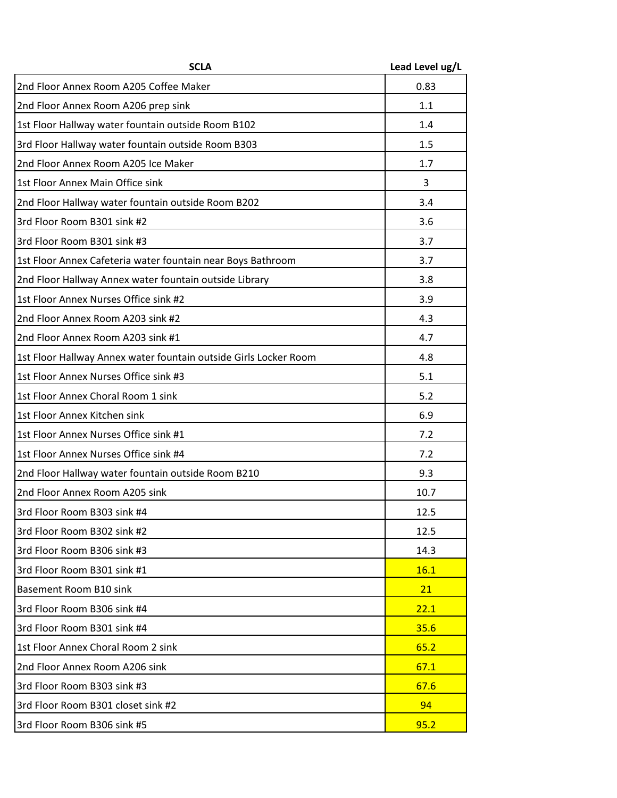| <b>SCLA</b>                                                      | Lead Level ug/L |
|------------------------------------------------------------------|-----------------|
| 2nd Floor Annex Room A205 Coffee Maker                           | 0.83            |
| 2nd Floor Annex Room A206 prep sink                              | 1.1             |
| 1st Floor Hallway water fountain outside Room B102               | 1.4             |
| 3rd Floor Hallway water fountain outside Room B303               | 1.5             |
| 2nd Floor Annex Room A205 Ice Maker                              | 1.7             |
| 1st Floor Annex Main Office sink                                 | 3               |
| 2nd Floor Hallway water fountain outside Room B202               | 3.4             |
| 3rd Floor Room B301 sink #2                                      | 3.6             |
| 3rd Floor Room B301 sink #3                                      | 3.7             |
| 1st Floor Annex Cafeteria water fountain near Boys Bathroom      | 3.7             |
| 2nd Floor Hallway Annex water fountain outside Library           | 3.8             |
| 1st Floor Annex Nurses Office sink #2                            | 3.9             |
| 2nd Floor Annex Room A203 sink #2                                | 4.3             |
| 2nd Floor Annex Room A203 sink #1                                | 4.7             |
| 1st Floor Hallway Annex water fountain outside Girls Locker Room | 4.8             |
| 1st Floor Annex Nurses Office sink #3                            | 5.1             |
| 1st Floor Annex Choral Room 1 sink                               | 5.2             |
| 1st Floor Annex Kitchen sink                                     | 6.9             |
| 1st Floor Annex Nurses Office sink #1                            | 7.2             |
| 1st Floor Annex Nurses Office sink #4                            | 7.2             |
| 2nd Floor Hallway water fountain outside Room B210               | 9.3             |
| 2nd Floor Annex Room A205 sink                                   | 10.7            |
| 3rd Floor Room B303 sink #4                                      | 12.5            |
| 3rd Floor Room B302 sink #2                                      | 12.5            |
| 3rd Floor Room B306 sink #3                                      | 14.3            |
| 3rd Floor Room B301 sink #1                                      | 16.1            |
| Basement Room B10 sink                                           | 21              |
| 3rd Floor Room B306 sink #4                                      | 22.1            |
| 3rd Floor Room B301 sink #4                                      | 35.6            |
| 1st Floor Annex Choral Room 2 sink                               | 65.2            |
| 2nd Floor Annex Room A206 sink                                   | 67.1            |
| 3rd Floor Room B303 sink #3                                      | 67.6            |
| 3rd Floor Room B301 closet sink #2                               | 94              |
| 3rd Floor Room B306 sink #5                                      | 95.2            |